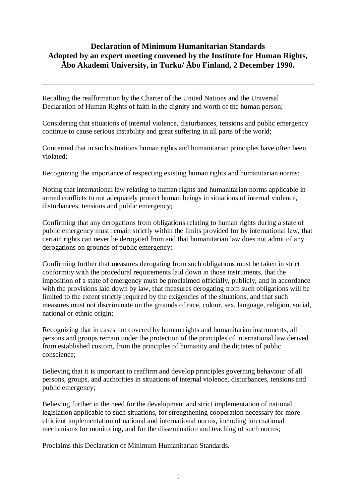# **Declaration of Minimum Humanitarian Standards Adopted by an expert meeting convened by the Institute for Human Rights, Åbo Akademi University, in Turku/ Åbo Finland, 2 December 1990.**

Recalling the reaffirmation by the Charter of the United Nations and the Universal Declaration of Human Rights of faith in the dignity and worth of the human person;

Considering that situations of internal violence, disturbances, tensions and public emergency continue to cause serious instability and great suffering in all parts of the world;

Concerned that in such situations human rights and humanitarian principles have often been violated;

Recognizing the importance of respecting existing human rights and humanitarian norms;

Noting that international law relating to human rights and humanitarian norms applicable in armed conflicts to not adequately protect human beings in situations of internal violence, disturbances, tensions and public emergency;

Confirming that any derogations from obligations relating to human rights during a state of public emergency must remain strictly within the limits provided for by international law, that certain rights can never be derogated from and that humanitarian law does not admit of any derogations on grounds of public emergency;

Confirming further that measures derogating from such obligations must be taken in strict conformity with the procedural requirements laid down in those instruments, that the imposition of a state of emergency must be proclaimed officially, publicly, and in accordance with the provisions laid down by law, that measures derogating from such obligations will be limited to the extent strictly required by the exigencies of the situations, and that such measures must not discriminate on the grounds of race, colour, sex, language, religion, social, national or ethnic origin;

Recognizing that in cases not covered by human rights and humanitarian instruments, all persons and groups remain under the protection of the principles of international law derived from established custom, from the principles of humanity and the dictates of public conscience;

Believing that it is important to reaffirm and develop principles governing behaviour of all persons, groups, and authorities in situations of internal violence, disturbances, tensions and public emergency;

Believing further in the need for the development and strict implementation of national legislation applicable to such situations, for strengthening cooperation necessary for more efficient implementation of national and international norms, including international mechanisms for monitoring, and for the dissemination and teaching of such norms;

Proclaims this Declaration of Minimum Humanitarian Standards.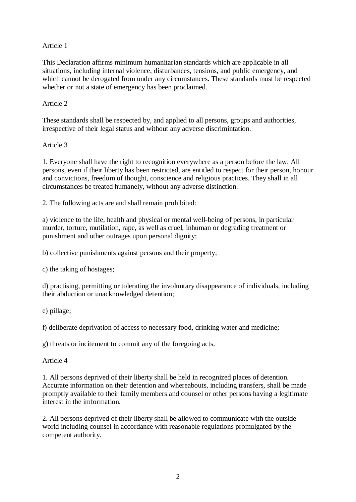## Article 1

This Declaration affirms minimum humanitarian standards which are applicable in all situations, including internal violence, disturbances, tensions, and public emergency, and which cannot be derogated from under any circumstances. These standards must be respected whether or not a state of emergency has been proclaimed.

### Article 2

These standards shall be respected by, and applied to all persons, groups and authorities, irrespective of their legal status and without any adverse discrimintation.

### Article 3

1. Everyone shall have the right to recognition everywhere as a person before the law. All persons, even if their liberty has been restricted, are entitled to respect for their person, honour and convictions, freedom of thought, conscience and religious practices. They shall in all circumstances be treated humanely, without any adverse distinction.

2. The following acts are and shall remain prohibited:

a) violence to the life, health and physical or mental well-being of persons, in particular murder, torture, mutilation, rape, as well as cruel, inhuman or degrading treatment or punishment and other outrages upon personal dignity;

b) collective punishments against persons and their property;

c) the taking of hostages;

d) practising, permitting or tolerating the involuntary disappearance of individuals, including their abduction or unacknowledged detention;

e) pillage;

f) deliberate deprivation of access to necessary food, drinking water and medicine;

g) threats or incitement to commit any of the foregoing acts.

Article 4

1. All persons deprived of their liberty shall be held in recognized places of detention. Accurate information on their detention and whereabouts, including transfers, shall be made promptly available to their family members and counsel or other persons having a legitimate interest in the imformation.

2. All persons deprived of their liberty shall be allowed to communicate with the outside world including counsel in accordance with reasonable regulations promulgated by the competent authority.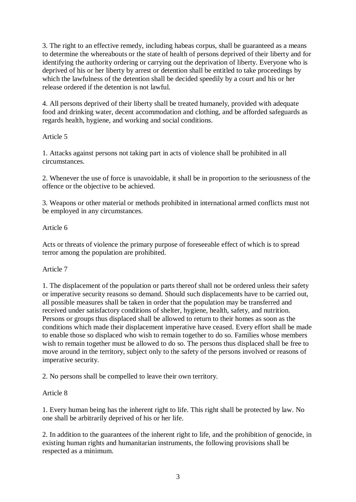3. The right to an effective remedy, including habeas corpus, shall be guaranteed as a means to determine the whereabouts or the state of health of persons deprived of their liberty and for identifying the authority ordering or carrying out the deprivation of liberty. Everyone who is deprived of his or her liberty by arrest or detention shall be entitled to take proceedings by which the lawfulness of the detention shall be decided speedily by a court and his or her release ordered if the detention is not lawful.

4. All persons deprived of their liberty shall be treated humanely, provided with adequate food and drinking water, decent accommodation and clothing, and be afforded safeguards as regards health, hygiene, and working and social conditions.

## Article 5

1. Attacks against persons not taking part in acts of violence shall be prohibited in all circumstances.

2. Whenever the use of force is unavoidable, it shall be in proportion to the seriousness of the offence or the objective to be achieved.

3. Weapons or other material or methods prohibited in international armed conflicts must not be employed in any circumstances.

## Article 6

Acts or threats of violence the primary purpose of foreseeable effect of which is to spread terror among the population are prohibited.

### Article 7

1. The displacement of the population or parts thereof shall not be ordered unless their safety or imperative security reasons so demand. Should such displacements have to be carried out, all possible measures shall be taken in order that the population may be transferred and received under satisfactory conditions of shelter, hygiene, health, safety, and nutrition. Persons or groups thus displaced shall be allowed to return to their homes as soon as the conditions which made their displacement imperative have ceased. Every effort shall be made to enable those so displaced who wish to remain together to do so. Families whose members wish to remain together must be allowed to do so. The persons thus displaced shall be free to move around in the territory, subject only to the safety of the persons involved or reasons of imperative security.

2. No persons shall be compelled to leave their own territory.

### Article 8

1. Every human being has the inherent right to life. This right shall be protected by law. No one shall be arbitrarily deprived of his or her life.

2. In addition to the guarantees of the inherent right to life, and the prohibition of genocide, in existing human rights and humanitarian instruments, the following provisions shall be respected as a minimum.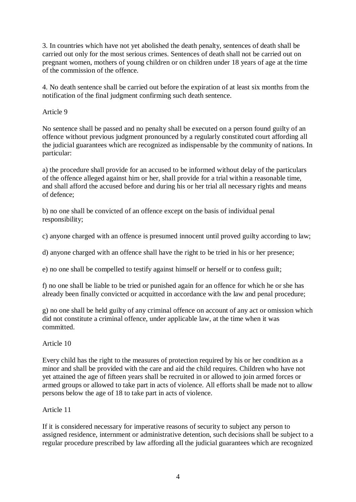3. In countries which have not yet abolished the death penalty, sentences of death shall be carried out only for the most serious crimes. Sentences of death shall not be carried out on pregnant women, mothers of young children or on children under 18 years of age at the time of the commission of the offence.

4. No death sentence shall be carried out before the expiration of at least six months from the notification of the final judgment confirming such death sentence.

Article 9

No sentence shall be passed and no penalty shall be executed on a person found guilty of an offence without previous judgment pronounced by a regularly constituted court affording all the judicial guarantees which are recognized as indispensable by the community of nations. In particular:

a) the procedure shall provide for an accused to be informed without delay of the particulars of the offence alleged against him or her, shall provide for a trial within a reasonable time, and shall afford the accused before and during his or her trial all necessary rights and means of defence;

b) no one shall be convicted of an offence except on the basis of individual penal responsibility;

c) anyone charged with an offence is presumed innocent until proved guilty according to law;

d) anyone charged with an offence shall have the right to be tried in his or her presence;

e) no one shall be compelled to testify against himself or herself or to confess guilt;

f) no one shall be liable to be tried or punished again for an offence for which he or she has already been finally convicted or acquitted in accordance with the law and penal procedure;

g) no one shall be held guilty of any criminal offence on account of any act or omission which did not constitute a criminal offence, under applicable law, at the time when it was committed.

Article 10

Every child has the right to the measures of protection required by his or her condition as a minor and shall be provided with the care and aid the child requires. Children who have not yet attained the age of fifteen years shall be recruited in or allowed to join armed forces or armed groups or allowed to take part in acts of violence. All efforts shall be made not to allow persons below the age of 18 to take part in acts of violence.

### Article 11

If it is considered necessary for imperative reasons of security to subject any person to assigned residence, internment or administrative detention, such decisions shall be subject to a regular procedure prescribed by law affording all the judicial guarantees which are recognized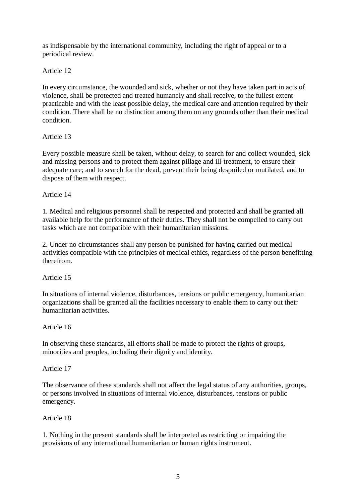as indispensable by the international community, including the right of appeal or to a periodical review.

Article 12

In every circumstance, the wounded and sick, whether or not they have taken part in acts of violence, shall be protected and treated humanely and shall receive, to the fullest extent practicable and with the least possible delay, the medical care and attention required by their condition. There shall be no distinction among them on any grounds other than their medical condition.

## Article 13

Every possible measure shall be taken, without delay, to search for and collect wounded, sick and missing persons and to protect them against pillage and ill-treatment, to ensure their adequate care; and to search for the dead, prevent their being despoiled or mutilated, and to dispose of them with respect.

### Article 14

1. Medical and religious personnel shall be respected and protected and shall be granted all available help for the performance of their duties. They shall not be compelled to carry out tasks which are not compatible with their humanitarian missions.

2. Under no circumstances shall any person be punished for having carried out medical activities compatible with the principles of medical ethics, regardless of the person benefitting therefrom.

### Article 15

In situations of internal violence, disturbances, tensions or public emergency, humanitarian organizations shall be granted all the facilities necessary to enable them to carry out their humanitarian activities.

### Article 16

In observing these standards, all efforts shall be made to protect the rights of groups, minorities and peoples, including their dignity and identity.

#### Article 17

The observance of these standards shall not affect the legal status of any authorities, groups, or persons involved in situations of internal violence, disturbances, tensions or public emergency.

### Article 18

1. Nothing in the present standards shall be interpreted as restricting or impairing the provisions of any international humanitarian or human rights instrument.